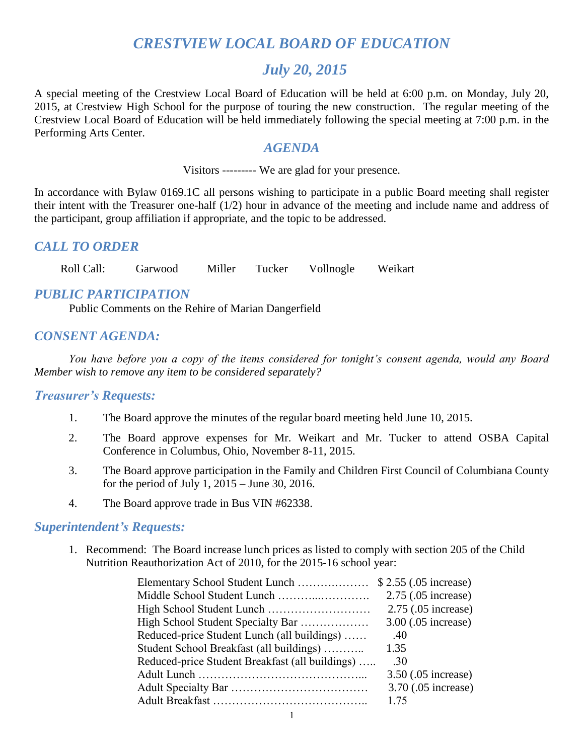# *CRESTVIEW LOCAL BOARD OF EDUCATION*

# *July 20, 2015*

A special meeting of the Crestview Local Board of Education will be held at 6:00 p.m. on Monday, July 20, 2015, at Crestview High School for the purpose of touring the new construction. The regular meeting of the Crestview Local Board of Education will be held immediately following the special meeting at 7:00 p.m. in the Performing Arts Center.

#### *AGENDA*

Visitors --------- We are glad for your presence.

In accordance with Bylaw 0169.1C all persons wishing to participate in a public Board meeting shall register their intent with the Treasurer one-half (1/2) hour in advance of the meeting and include name and address of the participant, group affiliation if appropriate, and the topic to be addressed.

### *CALL TO ORDER*

Roll Call: Garwood Miller Tucker Vollnogle Weikart

### *PUBLIC PARTICIPATION*

Public Comments on the Rehire of Marian Dangerfield

### *CONSENT AGENDA:*

*You have before you a copy of the items considered for tonight's consent agenda, would any Board Member wish to remove any item to be considered separately?*

#### *Treasurer's Requests:*

- 1. The Board approve the minutes of the regular board meeting held June 10, 2015.
- 2. The Board approve expenses for Mr. Weikart and Mr. Tucker to attend OSBA Capital Conference in Columbus, Ohio, November 8-11, 2015.
- 3. The Board approve participation in the Family and Children First Council of Columbiana County for the period of July 1, 2015 – June 30, 2016.
- 4. The Board approve trade in Bus VIN #62338.

#### *Superintendent's Requests:*

1. Recommend: The Board increase lunch prices as listed to comply with section 205 of the Child Nutrition Reauthorization Act of 2010, for the 2015-16 school year:

|                                                 | 2.75 (.05 increase) |
|-------------------------------------------------|---------------------|
|                                                 | 2.75 (.05 increase) |
| High School Student Specialty Bar               | 3.00 (.05 increase) |
| Reduced-price Student Lunch (all buildings)     | .40                 |
| Student School Breakfast (all buildings)        | 1.35                |
| Reduced-price Student Breakfast (all buildings) | .30                 |
|                                                 | 3.50 (.05 increase) |
|                                                 | 3.70 (.05 increase) |
|                                                 | 1 75                |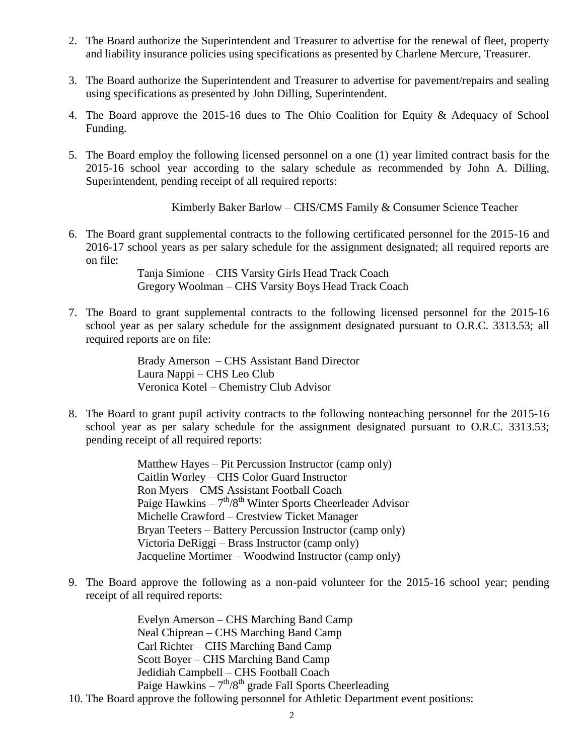- 2. The Board authorize the Superintendent and Treasurer to advertise for the renewal of fleet, property and liability insurance policies using specifications as presented by Charlene Mercure, Treasurer.
- 3. The Board authorize the Superintendent and Treasurer to advertise for pavement/repairs and sealing using specifications as presented by John Dilling, Superintendent.
- 4. The Board approve the 2015-16 dues to The Ohio Coalition for Equity & Adequacy of School Funding.
- 5. The Board employ the following licensed personnel on a one (1) year limited contract basis for the 2015-16 school year according to the salary schedule as recommended by John A. Dilling, Superintendent, pending receipt of all required reports:

Kimberly Baker Barlow – CHS/CMS Family & Consumer Science Teacher

6. The Board grant supplemental contracts to the following certificated personnel for the 2015-16 and 2016-17 school years as per salary schedule for the assignment designated; all required reports are on file:

> Tanja Simione – CHS Varsity Girls Head Track Coach Gregory Woolman – CHS Varsity Boys Head Track Coach

7. The Board to grant supplemental contracts to the following licensed personnel for the 2015-16 school year as per salary schedule for the assignment designated pursuant to O.R.C. 3313.53; all required reports are on file:

> Brady Amerson – CHS Assistant Band Director Laura Nappi – CHS Leo Club Veronica Kotel – Chemistry Club Advisor

8. The Board to grant pupil activity contracts to the following nonteaching personnel for the 2015-16 school year as per salary schedule for the assignment designated pursuant to O.R.C. 3313.53; pending receipt of all required reports:

> Matthew Hayes – Pit Percussion Instructor (camp only) Caitlin Worley – CHS Color Guard Instructor Ron Myers – CMS Assistant Football Coach Paige Hawkins  $-7<sup>th</sup>/8<sup>th</sup>$  Winter Sports Cheerleader Advisor Michelle Crawford – Crestview Ticket Manager Bryan Teeters – Battery Percussion Instructor (camp only) Victoria DeRiggi – Brass Instructor (camp only) Jacqueline Mortimer – Woodwind Instructor (camp only)

9. The Board approve the following as a non-paid volunteer for the 2015-16 school year; pending receipt of all required reports:

> Evelyn Amerson – CHS Marching Band Camp Neal Chiprean – CHS Marching Band Camp Carl Richter – CHS Marching Band Camp Scott Boyer – CHS Marching Band Camp Jedidiah Campbell – CHS Football Coach Paige Hawkins  $-7<sup>th</sup>/8<sup>th</sup>$  grade Fall Sports Cheerleading

10. The Board approve the following personnel for Athletic Department event positions: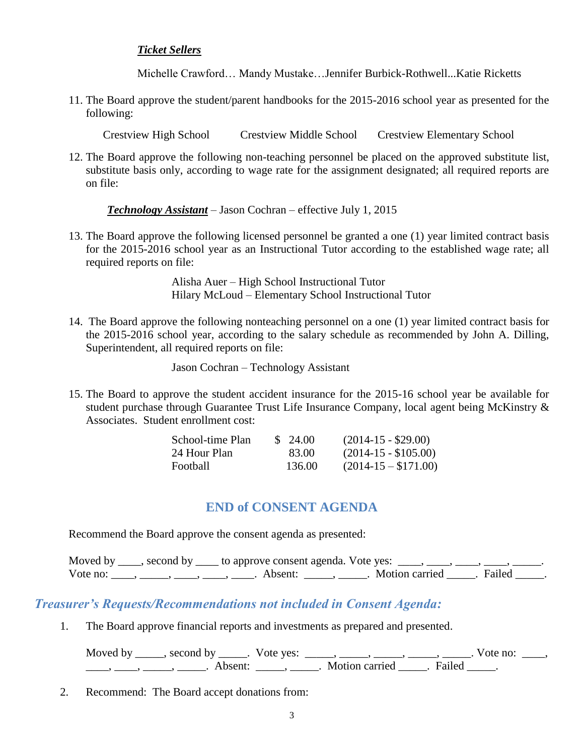#### *Ticket Sellers*

Michelle Crawford… Mandy Mustake…Jennifer Burbick-Rothwell...Katie Ricketts

11. The Board approve the student/parent handbooks for the 2015-2016 school year as presented for the following:

Crestview High School Crestview Middle School Crestview Elementary School

12. The Board approve the following non-teaching personnel be placed on the approved substitute list, substitute basis only, according to wage rate for the assignment designated; all required reports are on file:

*Technology Assistant* – Jason Cochran – effective July 1, 2015

13. The Board approve the following licensed personnel be granted a one (1) year limited contract basis for the 2015-2016 school year as an Instructional Tutor according to the established wage rate; all required reports on file:

> Alisha Auer – High School Instructional Tutor Hilary McLoud – Elementary School Instructional Tutor

14. The Board approve the following nonteaching personnel on a one (1) year limited contract basis for the 2015-2016 school year, according to the salary schedule as recommended by John A. Dilling, Superintendent, all required reports on file:

Jason Cochran – Technology Assistant

15. The Board to approve the student accident insurance for the 2015-16 school year be available for student purchase through Guarantee Trust Life Insurance Company, local agent being McKinstry & Associates. Student enrollment cost:

| School-time Plan | \$24.00 | $(2014-15 - $29.00)$  |
|------------------|---------|-----------------------|
| 24 Hour Plan     | 83.00   | $(2014-15 - $105.00)$ |
| Football         | 136.00  | $(2014-15- $171.00)$  |

### **END of CONSENT AGENDA**

Recommend the Board approve the consent agenda as presented:

|          | Moved by _____, second by _____ to approve consent agenda. Vote yes: |                  |          |
|----------|----------------------------------------------------------------------|------------------|----------|
| Vote no: | Absent:                                                              | . Motion carried | . Failed |

### *Treasurer's Requests/Recommendations not included in Consent Agenda:*

1. The Board approve financial reports and investments as prepared and presented.

Moved by \_\_\_\_\_, second by \_\_\_\_\_. Vote yes:  $\_\_\_\_\_\_\_\_\_\_\_\_\_\_\_$  \_\_\_\_\_, \_\_\_\_\_, \_\_\_\_\_. Vote no:  $\_\_\_\_\_\_\$ \_\_\_\_\_, \_\_\_\_\_\_, \_\_\_\_\_\_\_. Absent: \_\_\_\_\_\_, \_\_\_\_\_\_. Motion carried \_\_\_\_\_\_. Failed \_\_\_\_\_.

2. Recommend: The Board accept donations from: